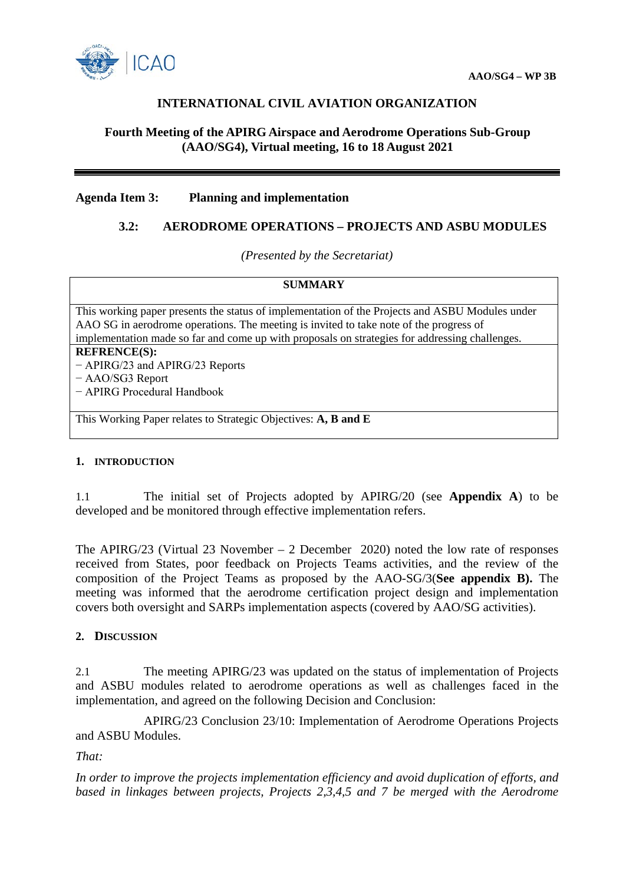

# **INTERNATIONAL CIVIL AVIATION ORGANIZATION**

## **Fourth Meeting of the APIRG Airspace and Aerodrome Operations Sub-Group (AAO/SG4), Virtual meeting, 16 to 18 August 2021**

#### **Agenda Item 3: Planning and implementation**

### **3.2: AERODROME OPERATIONS – PROJECTS AND ASBU MODULES**

*(Presented by the Secretariat)*

## **SUMMARY**

This working paper presents the status of implementation of the Projects and ASBU Modules under AAO SG in aerodrome operations. The meeting is invited to take note of the progress of implementation made so far and come up with proposals on strategies for addressing challenges.

## **REFRENCE(S):**

− APIRG/23 and APIRG/23 Reports

− AAO/SG3 Report

− APIRG Procedural Handbook

This Working Paper relates to Strategic Objectives: **A, B and E**

#### **1. INTRODUCTION**

1.1 The initial set of Projects adopted by APIRG/20 (see **Appendix A**) to be developed and be monitored through effective implementation refers.

The APIRG/23 (Virtual 23 November – 2 December 2020) noted the low rate of responses received from States, poor feedback on Projects Teams activities, and the review of the composition of the Project Teams as proposed by the AAO-SG/3(**See appendix B).** The meeting was informed that the aerodrome certification project design and implementation covers both oversight and SARPs implementation aspects (covered by AAO/SG activities).

#### **2. DISCUSSION**

2.1 The meeting APIRG/23 was updated on the status of implementation of Projects and ASBU modules related to aerodrome operations as well as challenges faced in the implementation, and agreed on the following Decision and Conclusion:

APIRG/23 Conclusion 23/10: Implementation of Aerodrome Operations Projects and ASBU Modules.

*That:*

*In order to improve the projects implementation efficiency and avoid duplication of efforts, and based in linkages between projects, Projects 2,3,4,5 and 7 be merged with the Aerodrome*